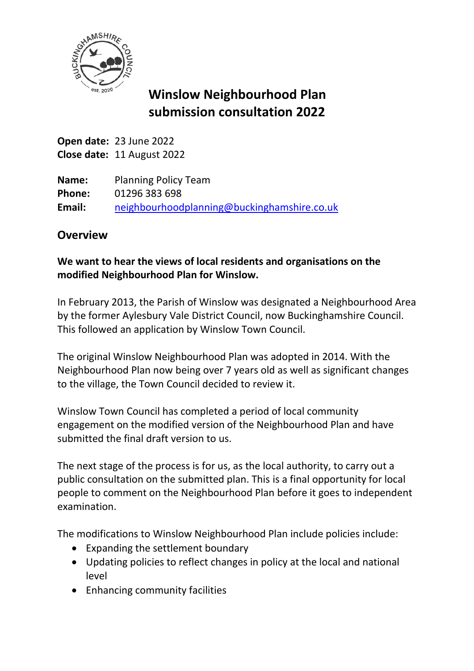

# **Winslow Neighbourhood Plan submission consultation 2022**

**Open date:** 23 June 2022 **Close date:** 11 August 2022

**Name:** Planning Policy Team **Phone:** 01296 383 698 **Email:** [neighbourhoodplanning@buckinghamshire.co.uk](mailto:neighbourhoodplanning@buckinghamshire.co.uk)

# **Overview**

## **We want to hear the views of local residents and organisations on the modified Neighbourhood Plan for Winslow.**

In February 2013, the Parish of Winslow was designated a Neighbourhood Area by the former Aylesbury Vale District Council, now Buckinghamshire Council. This followed an application by Winslow Town Council.

The original Winslow Neighbourhood Plan was adopted in 2014. With the Neighbourhood Plan now being over 7 years old as well as significant changes to the village, the Town Council decided to review it.

Winslow Town Council has completed a period of local community engagement on the modified version of the Neighbourhood Plan and have submitted the final draft version to us.

The next stage of the process is for us, as the local authority, to carry out a public consultation on the submitted plan. This is a final opportunity for local people to comment on the Neighbourhood Plan before it goes to independent examination.

The modifications to Winslow Neighbourhood Plan include policies include:

- Expanding the settlement boundary
- Updating policies to reflect changes in policy at the local and national level
- Enhancing community facilities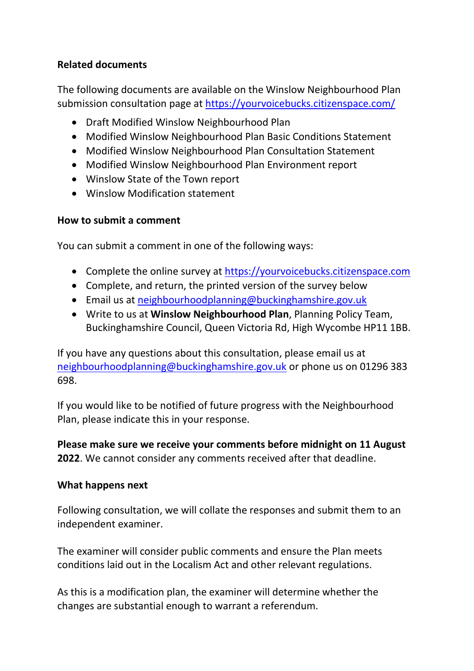#### **Related documents**

The following documents are available on the Winslow Neighbourhood Plan submission consultation page at<https://yourvoicebucks.citizenspace.com/>

- Draft Modified Winslow Neighbourhood Plan
- Modified Winslow Neighbourhood Plan Basic Conditions Statement
- Modified Winslow Neighbourhood Plan Consultation Statement
- Modified Winslow Neighbourhood Plan Environment report
- Winslow State of the Town report
- Winslow Modification statement

#### **How to submit a comment**

You can submit a comment in one of the following ways:

- Complete the online survey at [https://yourvoicebucks.citizenspace.com](https://yourvoicebucks.citizenspace.com/)
- Complete, and return, the printed version of the survey below
- Email us at [neighbourhoodplanning@buckinghamshire.gov.uk](mailto:neighbourhoodplanning@buckinghamshire.gov.uk)
- Write to us at **Winslow Neighbourhood Plan**, Planning Policy Team, Buckinghamshire Council, Queen Victoria Rd, High Wycombe HP11 1BB.

If you have any questions about this consultation, please email us at [neighbourhoodplanning@buckinghamshire.gov.uk](mailto:neighbourhoodplanning@buckinghamshire.gov.uk) or phone us on 01296 383 698.

If you would like to be notified of future progress with the Neighbourhood Plan, please indicate this in your response.

**Please make sure we receive your comments before midnight on 11 August 2022**. We cannot consider any comments received after that deadline.

#### **What happens next**

Following consultation, we will collate the responses and submit them to an independent examiner.

The examiner will consider public comments and ensure the Plan meets conditions laid out in the Localism Act and other relevant regulations.

As this is a modification plan, the examiner will determine whether the changes are substantial enough to warrant a referendum.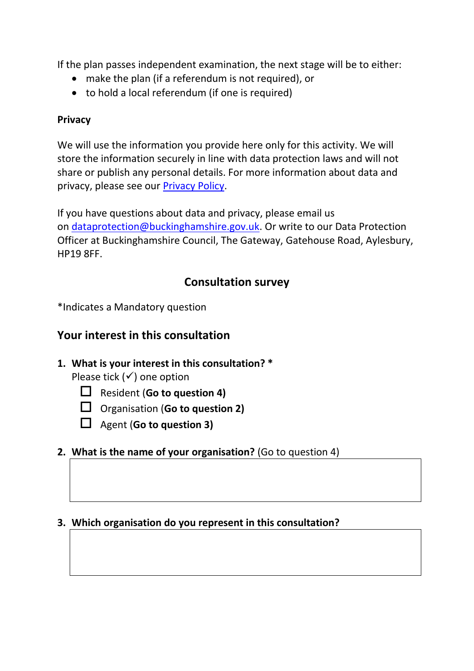If the plan passes independent examination, the next stage will be to either:

- make the plan (if a referendum is not required), or
- to hold a local referendum (if one is required)

### **Privacy**

We will use the information you provide here only for this activity. We will store the information securely in line with data protection laws and will not share or publish any personal details. For more information about data and privacy, please see our [Privacy Policy.](https://www.buckinghamshire.gov.uk/your-council/privacy/privacy-policy/)

If you have questions about data and privacy, please email us on [dataprotection@buckinghamshire.gov.uk.](mailto:dataprotection@buckinghamshire.gov.uk) Or write to our Data Protection Officer at Buckinghamshire Council, The Gateway, Gatehouse Road, Aylesbury, HP19 8FF.

# **Consultation survey**

\*Indicates a Mandatory question

# **Your interest in this consultation**

**1. What is your interest in this consultation? \***

Please tick  $($ ) one option

- Resident (**Go to question 4)**
- Organisation (**Go to question 2)**
- Agent (**Go to question 3)**

## **2. What is the name of your organisation?** (Go to question 4)

#### **3. Which organisation do you represent in this consultation?**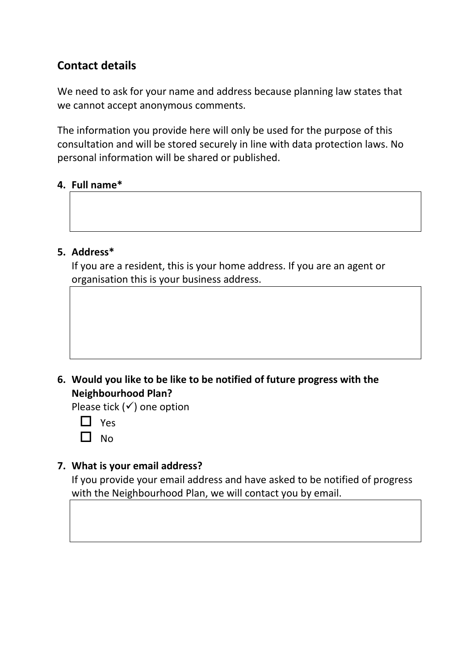# **Contact details**

We need to ask for your name and address because planning law states that we cannot accept anonymous comments.

The information you provide here will only be used for the purpose of this consultation and will be stored securely in line with data protection laws. No personal information will be shared or published.

#### **4. Full name\***



If you are a resident, this is your home address. If you are an agent or organisation this is your business address.

#### **6. Would you like to be like to be notified of future progress with the Neighbourhood Plan?**

Please tick  $(√)$  one option

 $\Box$  Yes

 $\Box$  No

#### **7. What is your email address?**

If you provide your email address and have asked to be notified of progress with the Neighbourhood Plan, we will contact you by email.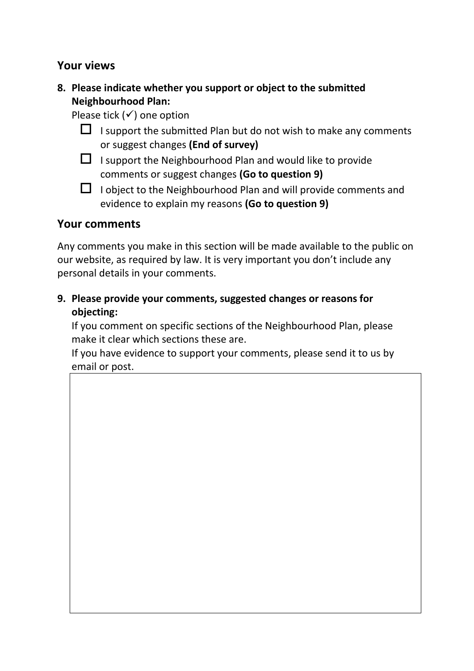#### **Your views**

**8. Please indicate whether you support or object to the submitted Neighbourhood Plan:**

Please tick  $($ ) one option

- $\Box$  I support the submitted Plan but do not wish to make any comments or suggest changes **(End of survey)**
- $\Box$  I support the Neighbourhood Plan and would like to provide comments or suggest changes **(Go to question 9)**
- $\Box$  I object to the Neighbourhood Plan and will provide comments and evidence to explain my reasons **(Go to question 9)**

## **Your comments**

Any comments you make in this section will be made available to the public on our website, as required by law. It is very important you don't include any personal details in your comments.

**9. Please provide your comments, suggested changes or reasons for objecting:**

If you comment on specific sections of the Neighbourhood Plan, please make it clear which sections these are.

If you have evidence to support your comments, please send it to us by email or post.